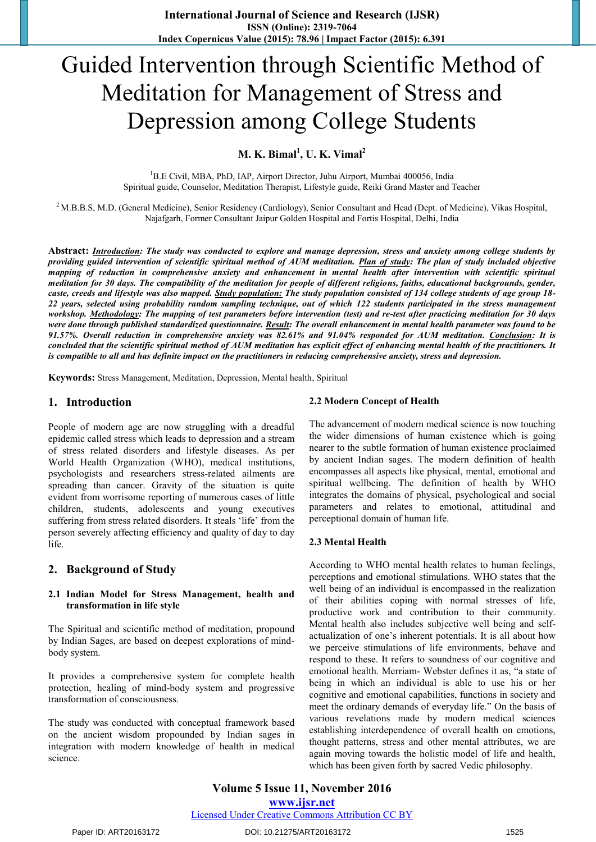# Guided Intervention through Scientific Method of Meditation for Management of Stress and Depression among College Students

**M. K. Bimal<sup>1</sup> , U. K. Vimal<sup>2</sup>**

<sup>1</sup>B.E Civil, MBA, PhD, IAP, Airport Director, Juhu Airport, Mumbai 400056, India Spiritual guide, Counselor, Meditation Therapist, Lifestyle guide, Reiki Grand Master and Teacher

<sup>2</sup> M.B.B.S, M.D. (General Medicine), Senior Residency (Cardiology), Senior Consultant and Head (Dept. of Medicine), Vikas Hospital, Najafgarh, Former Consultant Jaipur Golden Hospital and Fortis Hospital, Delhi, India

**Abstract:** *Introduction: The study was conducted to explore and manage depression, stress and anxiety among college students by providing guided intervention of scientific spiritual method of AUM meditation. Plan of study: The plan of study included objective mapping of reduction in comprehensive anxiety and enhancement in mental health after intervention with scientific spiritual meditation for 30 days. The compatibility of the meditation for people of different religions, faiths, educational backgrounds, gender, caste, creeds and lifestyle was also mapped. Study population: The study population consisted of 134 college students of age group 18- 22 years, selected using probability random sampling technique, out of which 122 students participated in the stress management workshop. Methodology: The mapping of test parameters before intervention (test) and re-test after practicing meditation for 30 days were done through published standardized questionnaire. Result: The overall enhancement in mental health parameter was found to be 91.57%. Overall reduction in comprehensive anxiety was 82.61% and 91.04% responded for AUM meditation. Conclusion: It is concluded that the scientific spiritual method of AUM meditation has explicit effect of enhancing mental health of the practitioners. It is compatible to all and has definite impact on the practitioners in reducing comprehensive anxiety, stress and depression.*

**Keywords:** Stress Management, Meditation, Depression, Mental health, Spiritual

### **1. Introduction**

People of modern age are now struggling with a dreadful epidemic called stress which leads to depression and a stream of stress related disorders and lifestyle diseases. As per World Health Organization (WHO), medical institutions, psychologists and researchers stress-related ailments are spreading than cancer. Gravity of the situation is quite evident from worrisome reporting of numerous cases of little children, students, adolescents and young executives suffering from stress related disorders. It steals 'life' from the person severely affecting efficiency and quality of day to day life.

## **2. Background of Study**

#### **2.1 Indian Model for Stress Management, health and transformation in life style**

The Spiritual and scientific method of meditation, propound by Indian Sages, are based on deepest explorations of mindbody system.

It provides a comprehensive system for complete health protection, healing of mind-body system and progressive transformation of consciousness.

The study was conducted with conceptual framework based on the ancient wisdom propounded by Indian sages in integration with modern knowledge of health in medical science.

#### **2.2 Modern Concept of Health**

The advancement of modern medical science is now touching the wider dimensions of human existence which is going nearer to the subtle formation of human existence proclaimed by ancient Indian sages. The modern definition of health encompasses all aspects like physical, mental, emotional and spiritual wellbeing. The definition of health by WHO integrates the domains of physical, psychological and social parameters and relates to emotional, attitudinal and perceptional domain of human life.

#### **2.3 Mental Health**

According to WHO mental health relates to human feelings, perceptions and emotional stimulations. WHO states that the well being of an individual is encompassed in the realization of their abilities coping with normal stresses of life, productive work and contribution to their community. Mental health also includes subjective well being and selfactualization of one's inherent potentials. It is all about how we perceive stimulations of life environments, behave and respond to these. It refers to soundness of our cognitive and emotional health. Merriam- Webster defines it as, "a state of being in which an individual is able to use his or her cognitive and emotional capabilities, functions in society and meet the ordinary demands of everyday life." On the basis of various revelations made by modern medical sciences establishing interdependence of overall health on emotions, thought patterns, stress and other mental attributes, we are again moving towards the holistic model of life and health, which has been given forth by sacred Vedic philosophy.

**Volume 5 Issue 11, November 2016 www.ijsr.net** Licensed Under Creative Commons Attribution CC BY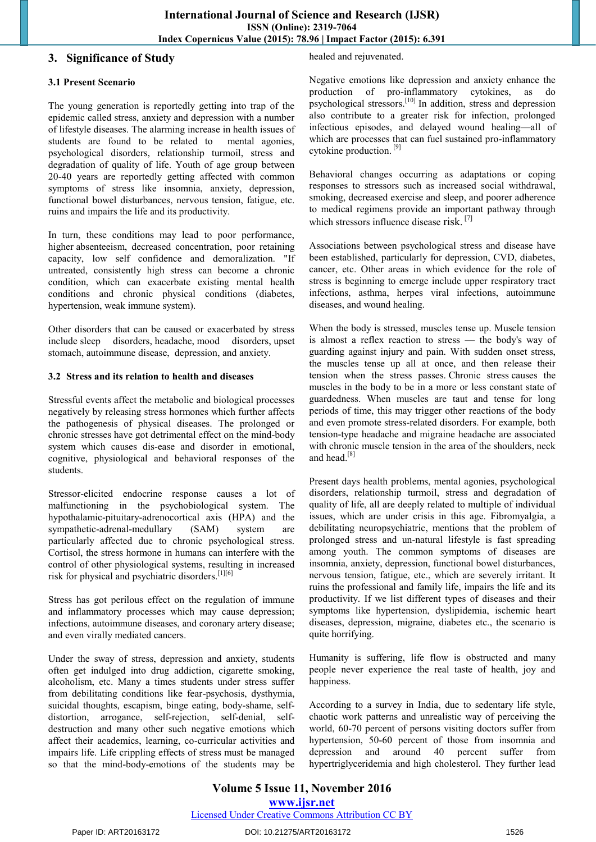## **3. Significance of Study**

## **3.1 Present Scenario**

The young generation is reportedly getting into trap of the epidemic called stress, anxiety and depression with a number of lifestyle diseases. The alarming increase in health issues of students are found to be related to mental agonies, psychological disorders, relationship turmoil, stress and degradation of quality of life. Youth of age group between 20-40 years are reportedly getting affected with common symptoms of stress like insomnia, anxiety, depression, functional bowel disturbances, nervous tension, fatigue, etc. ruins and impairs the life and its productivity.

In turn, these conditions may lead to poor performance, higher [absenteeism,](https://en.wikipedia.org/wiki/Absenteeism) decreased concentration, poor retaining capacity, low self confidence and demoralization. "If untreated, consistently high stress can become a chronic condition, which can exacerbate existing mental health conditions and chronic physical conditions (diabetes, hypertension, weak immune system).

Other disorders that can be caused or exacerbated by stress include [sleep disorders,](https://en.wikipedia.org/wiki/Sleep_disorders) [headache,](https://en.wikipedia.org/wiki/Headache) [mood disorders,](https://en.wikipedia.org/wiki/Mood_disorders) [upset](https://en.wikipedia.org/wiki/Upset_stomach)  [stomach,](https://en.wikipedia.org/wiki/Upset_stomach) [autoimmune disease,](https://en.wikipedia.org/wiki/Autoimmune_disease) [depression,](https://en.wikipedia.org/wiki/Depression_(mood)) and [anxiety.](https://en.wikipedia.org/wiki/Anxiety)

### **3.2 Stress and its relation to health and diseases**

Stressful events affect the metabolic and biological processes negatively by releasing stress hormones which further affects the pathogenesis of physical diseases. The prolonged or chronic stresses have got detrimental effect on the mind-body system which causes dis-ease and disorder in emotional, cognitive, physiological and behavioral responses of the students.

Stressor-elicited endocrine response causes a lot of malfunctioning in the psychobiological system. The hypothalamic-pituitary-adrenocortical axis (HPA) and the sympathetic-adrenal-medullary (SAM) system are particularly affected due to chronic psychological stress. Cortisol, the stress hormone in humans can interfere with the control of other physiological systems, resulting in increased risk for physical and psychiatric disorders.[1][6]

Stress has got perilous effect on the regulation of immune and inflammatory processes which may cause depression; infections, autoimmune diseases, and coronary artery disease; and even virally mediated cancers.

Under the sway of stress, depression and anxiety, students often get indulged into drug addiction, cigarette smoking, alcoholism, etc. Many a times students under stress suffer from debilitating conditions like fear-psychosis, dysthymia, suicidal thoughts, escapism, binge eating, body-shame, selfdistortion, arrogance, self-rejection, self-denial, selfdestruction and many other such negative emotions which affect their academics, learning, co-curricular activities and impairs life. Life crippling effects of stress must be managed so that the mind-body-emotions of the students may be healed and rejuvenated.

Negative emotions like depression and anxiety enhance the production of pro-inflammatory cytokines, as do psychological stressors.[10] In addition, stress and depression also contribute to a greater risk for infection, prolonged infectious episodes, and delayed wound healing—all of which are processes that can fuel sustained pro-inflammatory cytokine production. [9]

Behavioral changes occurring as adaptations or coping responses to stressors such as increased social withdrawal, smoking, decreased exercise and sleep, and poorer adherence to medical regimens provide an important pathway through which stressors influence disease risk.  $[7]$ 

Associations between psychological stress and disease have been established, particularly for depression, CVD, diabetes, cancer, etc. Other areas in which evidence for the role of stress is beginning to emerge include upper respiratory tract infections, asthma, herpes viral infections, autoimmune diseases, and wound healing.

When the body is stressed, muscles tense up. Muscle tension is almost a reflex reaction to stress — the body's way of guarding against injury and pain. With sudden onset stress, the muscles tense up all at once, and then release their tension when the stress passes. [Chronic stress](http://www.apa.org/helpcenter/understanding-chronic-stress.aspx) causes the muscles in the body to be in a more or less constant state of guardedness. When muscles are taut and tense for long periods of time, this may trigger other reactions of the body and even promote stress-related disorders. For example, both tension-type headache and migraine headache are associated with chronic muscle tension in the area of the shoulders, neck and head.<sup>[8]</sup>

Present days health problems, mental agonies, psychological disorders, relationship turmoil, stress and degradation of quality of life, all are deeply related to multiple of individual issues, which are under crisis in this age. Fibromyalgia, a debilitating neuropsychiatric, mentions that the problem of prolonged stress and un-natural lifestyle is fast spreading among youth. The common symptoms of diseases are insomnia, anxiety, depression, functional bowel disturbances, nervous tension, fatigue, etc., which are severely irritant. It ruins the professional and family life, impairs the life and its productivity. If we list different types of diseases and their symptoms like hypertension, dyslipidemia, ischemic heart diseases, depression, migraine, diabetes etc., the scenario is quite horrifying.

Humanity is suffering, life flow is obstructed and many people never experience the real taste of health, joy and happiness.

According to a survey in India, due to sedentary life style, chaotic work patterns and unrealistic way of perceiving the world, 60-70 percent of persons visiting doctors suffer from hypertension, 50-60 percent of those from insomnia and depression and around 40 percent suffer from hypertriglyceridemia and high cholesterol. They further lead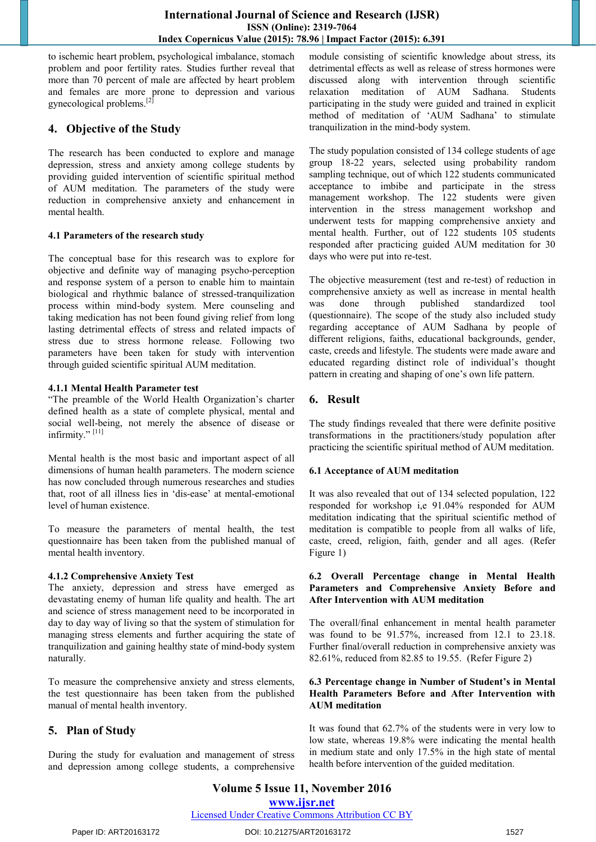to ischemic heart problem, psychological imbalance, stomach problem and poor fertility rates. Studies further reveal that more than 70 percent of male are affected by heart problem and females are more prone to depression and various gynecological problems.<sup>[2]</sup>

# **4. Objective of the Study**

The research has been conducted to explore and manage depression, stress and anxiety among college students by providing guided intervention of scientific spiritual method of AUM meditation. The parameters of the study were reduction in comprehensive anxiety and enhancement in mental health.

### **4.1 Parameters of the research study**

The conceptual base for this research was to explore for objective and definite way of managing psycho-perception and response system of a person to enable him to maintain biological and rhythmic balance of stressed-tranquilization process within mind-body system. Mere counseling and taking medication has not been found giving relief from long lasting detrimental effects of stress and related impacts of stress due to stress hormone release. Following two parameters have been taken for study with intervention through guided scientific spiritual AUM meditation.

### **4.1.1 Mental Health Parameter test**

―The preamble of the World Health Organization's charter defined health as a state of complete physical, mental and social well-being, not merely the absence of disease or infirmity."<sup>[11]</sup>

Mental health is the most basic and important aspect of all dimensions of human health parameters. The modern science has now concluded through numerous researches and studies that, root of all illness lies in 'dis-ease' at mental-emotional level of human existence.

To measure the parameters of mental health, the test questionnaire has been taken from the published manual of mental health inventory.

## **4.1.2 Comprehensive Anxiety Test**

The anxiety, depression and stress have emerged as devastating enemy of human life quality and health. The art and science of stress management need to be incorporated in day to day way of living so that the system of stimulation for managing stress elements and further acquiring the state of tranquilization and gaining healthy state of mind-body system naturally.

To measure the comprehensive anxiety and stress elements, the test questionnaire has been taken from the published manual of mental health inventory.

# **5. Plan of Study**

During the study for evaluation and management of stress and depression among college students, a comprehensive module consisting of scientific knowledge about stress, its detrimental effects as well as release of stress hormones were discussed along with intervention through scientific relaxation meditation of AUM Sadhana. Students participating in the study were guided and trained in explicit method of meditation of ‗AUM Sadhana' to stimulate tranquilization in the mind-body system.

The study population consisted of 134 college students of age group 18-22 years, selected using probability random sampling technique, out of which 122 students communicated acceptance to imbibe and participate in the stress management workshop. The 122 students were given intervention in the stress management workshop and underwent tests for mapping comprehensive anxiety and mental health. Further, out of 122 students 105 students responded after practicing guided AUM meditation for 30 days who were put into re-test.

The objective measurement (test and re-test) of reduction in comprehensive anxiety as well as increase in mental health was done through published standardized tool (questionnaire). The scope of the study also included study regarding acceptance of AUM Sadhana by people of different religions, faiths, educational backgrounds, gender, caste, creeds and lifestyle. The students were made aware and educated regarding distinct role of individual's thought pattern in creating and shaping of one's own life pattern.

# **6. Result**

The study findings revealed that there were definite positive transformations in the practitioners/study population after practicing the scientific spiritual method of AUM meditation.

## **6.1 Acceptance of AUM meditation**

It was also revealed that out of 134 selected population, 122 responded for workshop i,e 91.04% responded for AUM meditation indicating that the spiritual scientific method of meditation is compatible to people from all walks of life, caste, creed, religion, faith, gender and all ages. (Refer Figure 1)

#### **6.2 Overall Percentage change in Mental Health Parameters and Comprehensive Anxiety Before and After Intervention with AUM meditation**

The overall/final enhancement in mental health parameter was found to be 91.57%, increased from 12.1 to 23.18. Further final/overall reduction in comprehensive anxiety was 82.61%, reduced from 82.85 to 19.55. (Refer Figure 2)

#### **6.3 Percentage change in Number of Student's in Mental Health Parameters Before and After Intervention with AUM meditation**

It was found that 62.7% of the students were in very low to low state, whereas 19.8% were indicating the mental health in medium state and only 17.5% in the high state of mental health before intervention of the guided meditation.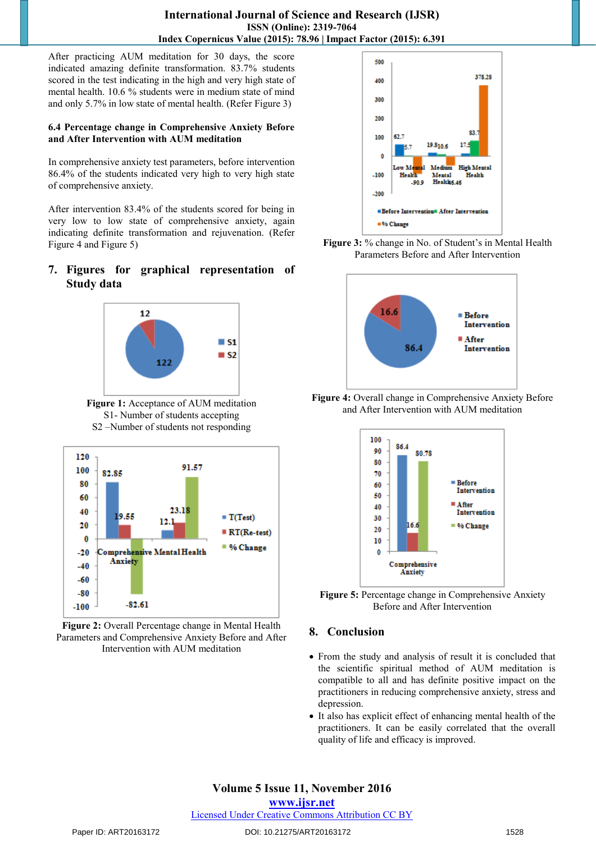After practicing AUM meditation for 30 days, the score indicated amazing definite transformation. 83.7% students scored in the test indicating in the high and very high state of mental health. 10.6 % students were in medium state of mind and only 5.7% in low state of mental health. (Refer Figure 3)

#### **6.4 Percentage change in Comprehensive Anxiety Before and After Intervention with AUM meditation**

In comprehensive anxiety test parameters, before intervention 86.4% of the students indicated very high to very high state of comprehensive anxiety.

After intervention 83.4% of the students scored for being in very low to low state of comprehensive anxiety, again indicating definite transformation and rejuvenation. (Refer Figure 4 and Figure 5)

# **7. Figures for graphical representation of Study data**



**Figure 1:** Acceptance of AUM meditation S1- Number of students accepting S2 –Number of students not responding



**Figure 2:** Overall Percentage change in Mental Health Parameters and Comprehensive Anxiety Before and After Intervention with AUM meditation







**Figure 4:** Overall change in Comprehensive Anxiety Before and After Intervention with AUM meditation



**Figure 5:** Percentage change in Comprehensive Anxiety Before and After Intervention

# **8. Conclusion**

- From the study and analysis of result it is concluded that the scientific spiritual method of AUM meditation is compatible to all and has definite positive impact on the practitioners in reducing comprehensive anxiety, stress and depression.
- It also has explicit effect of enhancing mental health of the practitioners. It can be easily correlated that the overall quality of life and efficacy is improved.

# **Volume 5 Issue 11, November 2016**

**www.ijsr.net**

Licensed Under Creative Commons Attribution CC BY

#### Paper ID: ART20163172 DOI: 10.21275/ART20163172 1528